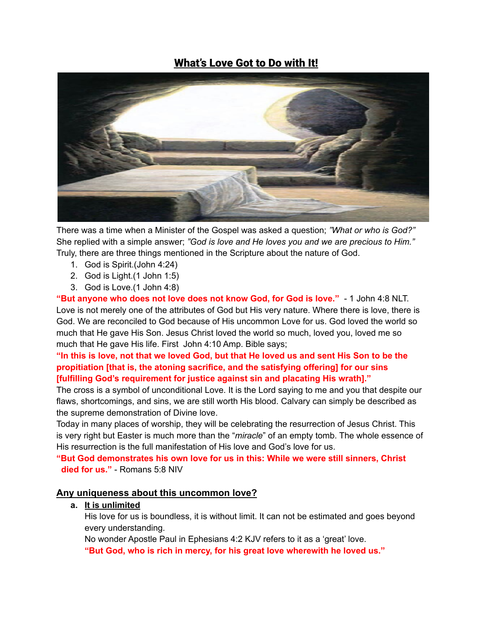## What's Love Got to Do with It!



There was a time when a Minister of the Gospel was asked a question; *"What or who is God?"* She replied with a simple answer; *"God is love and He loves you and we are precious to Him."* Truly, there are three things mentioned in the Scripture about the nature of God.

- 1. God is Spirit.(John 4:24)
- 2. God is Light.(1 John 1:5)
- 3. God is Love.(1 John 4:8)

**"But anyone who does not love does not know God, for God is love."** - 1 John 4:8 NLT. Love is not merely one of the attributes of God but His very nature. Where there is love, there is God. We are reconciled to God because of His uncommon Love for us. God loved the world so much that He gave His Son. Jesus Christ loved the world so much, loved you, loved me so much that He gave His life. First John 4:10 Amp. Bible says;

"In this is love, not that we loved God, but that He loved us and sent His Son to be the **propitiation [that is, the atoning sacrifice, and the satisfying offering] for our sins [fulfilling God's requirement for justice against sin and placating His wrath]."**

The cross is a symbol of unconditional Love. It is the Lord saying to me and you that despite our flaws, shortcomings, and sins, we are still worth His blood. Calvary can simply be described as the supreme demonstration of Divine love.

Today in many places of worship, they will be celebrating the resurrection of Jesus Christ. This is very right but Easter is much more than the "*miracle*" of an empty tomb. The whole essence of His resurrection is the full manifestation of His love and God's love for us.

**"But God demonstrates his own love for us in this: While we were still sinners, Christ died for us."** - Romans 5:8 NIV

#### **Any uniqueness about this uncommon love?**

#### **a. It is unlimited**

His love for us is boundless, it is without limit. It can not be estimated and goes beyond every understanding.

No wonder Apostle Paul in Ephesians 4:2 KJV refers to it as a 'great' love.

**"But God, who is rich in mercy, for his great love wherewith he loved us."**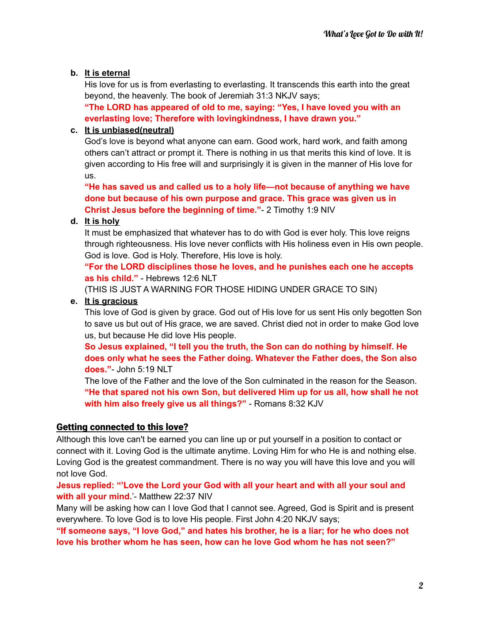#### **b. It is eternal**

His love for us is from everlasting to everlasting. It transcends this earth into the great beyond, the heavenly. The book of Jeremiah 31:3 NKJV says;

**"The LORD has appeared of old to me, saying: "Yes, I have loved you with an everlasting love; Therefore with lovingkindness, I have drawn you."**

#### **c. It is unbiased(neutral)**

God's love is beyond what anyone can earn. Good work, hard work, and faith among others can't attract or prompt it. There is nothing in us that merits this kind of love. It is given according to His free will and surprisingly it is given in the manner of His love for us.

**"He has saved us and called us to a holy life—not because of anything we have done but because of his own purpose and grace. This grace was given us in Christ Jesus before the beginning of time."**- 2 Timothy 1:9 NIV

#### **d. It is holy**

It must be emphasized that whatever has to do with God is ever holy. This love reigns through righteousness. His love never conflicts with His holiness even in His own people. God is love. God is Holy. Therefore, His love is holy.

**"For the LORD disciplines those he loves, and he punishes each one he accepts as his child."** - Hebrews 12:6 NLT

(THIS IS JUST A WARNING FOR THOSE HIDING UNDER GRACE TO SIN)

#### **e. It is gracious**

This love of God is given by grace. God out of His love for us sent His only begotten Son to save us but out of His grace, we are saved. Christ died not in order to make God love us, but because He did love His people.

**So Jesus explained, "I tell you the truth, the Son can do nothing by himself. He does only what he sees the Father doing. Whatever the Father does, the Son also does."**- John 5:19 NLT

The love of the Father and the love of the Son culminated in the reason for the Season. **"He that spared not his own Son, but delivered Him up for us all, how shall he not with him also freely give us all things?"** - Romans 8:32 KJV

#### Getting connected to this love?

Although this love can't be earned you can line up or put yourself in a position to contact or connect with it. Loving God is the ultimate anytime. Loving Him for who He is and nothing else. Loving God is the greatest commandment. There is no way you will have this love and you will not love God.

**Jesus replied: "'Love the Lord your God with all your heart and with all your soul and with all your mind.**'- Matthew 22:37 NIV

Many will be asking how can I love God that I cannot see. Agreed, God is Spirit and is present everywhere. To love God is to love His people. First John 4:20 NKJV says;

**"If someone says, "I love God," and hates his brother, he is a liar; for he who does not love his brother whom he has seen, how can he love God whom he has not seen?"**